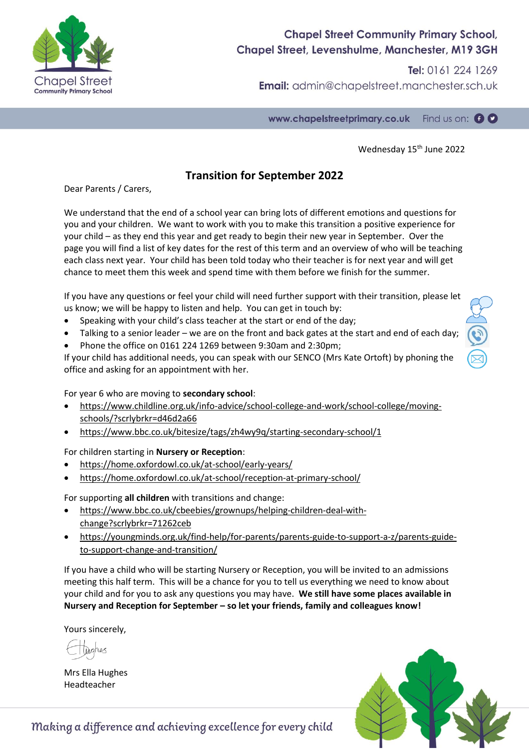

## **Chapel Street Community Primary School,** Chapel Street, Levenshulme, Manchester, M19 3GH

Tel: 0161 224 1269 **Email:** admin@chapelstreet.manchester.sch.uk

www.chapelstreetprimary.co.uk Find us on:  $\bullet \bullet$ 

Wednesday 15<sup>th</sup> June 2022

### **Transition for September 2022**

Dear Parents / Carers,

We understand that the end of a school year can bring lots of different emotions and questions for you and your children. We want to work with you to make this transition a positive experience for your child – as they end this year and get ready to begin their new year in September. Over the page you will find a list of key dates for the rest of this term and an overview of who will be teaching each class next year. Your child has been told today who their teacher is for next year and will get chance to meet them this week and spend time with them before we finish for the summer.

If you have any questions or feel your child will need further support with their transition, please let us know; we will be happy to listen and help. You can get in touch by:

- Speaking with your child's class teacher at the start or end of the day;
- Talking to a senior leader we are on the front and back gates at the start and end of each day;
- Phone the office on 0161 224 1269 between 9:30am and 2:30pm;

If your child has additional needs, you can speak with our SENCO (Mrs Kate Ortoft) by phoning the office and asking for an appointment with her.

For year 6 who are moving to **secondary school**:

- [https://www.childline.org.uk/info-advice/school-college-and-work/school-college/moving](https://www.childline.org.uk/info-advice/school-college-and-work/school-college/moving-schools/?scrlybrkr=d46d2a66)[schools/?scrlybrkr=d46d2a66](https://www.childline.org.uk/info-advice/school-college-and-work/school-college/moving-schools/?scrlybrkr=d46d2a66)
- <https://www.bbc.co.uk/bitesize/tags/zh4wy9q/starting-secondary-school/1>

For children starting in **Nursery or Reception**:

- <https://home.oxfordowl.co.uk/at-school/early-years/>
- <https://home.oxfordowl.co.uk/at-school/reception-at-primary-school/>

For supporting **all children** with transitions and change:

- [https://www.bbc.co.uk/cbeebies/grownups/helping-children-deal-with](https://www.bbc.co.uk/cbeebies/grownups/helping-children-deal-with-change?scrlybrkr=71262ceb)[change?scrlybrkr=71262ceb](https://www.bbc.co.uk/cbeebies/grownups/helping-children-deal-with-change?scrlybrkr=71262ceb)
- [https://youngminds.org.uk/find-help/for-parents/parents-guide-to-support-a-z/parents-guide](https://youngminds.org.uk/find-help/for-parents/parents-guide-to-support-a-z/parents-guide-to-support-change-and-transition/)[to-support-change-and-transition/](https://youngminds.org.uk/find-help/for-parents/parents-guide-to-support-a-z/parents-guide-to-support-change-and-transition/)

If you have a child who will be starting Nursery or Reception, you will be invited to an admissions meeting this half term. This will be a chance for you to tell us everything we need to know about your child and for you to ask any questions you may have. **We still have some places available in Nursery and Reception for September – so let your friends, family and colleagues know!**

Yours sincerely,

Mrs Ella Hughes Headteacher



Making a difference and achieving excellence for every child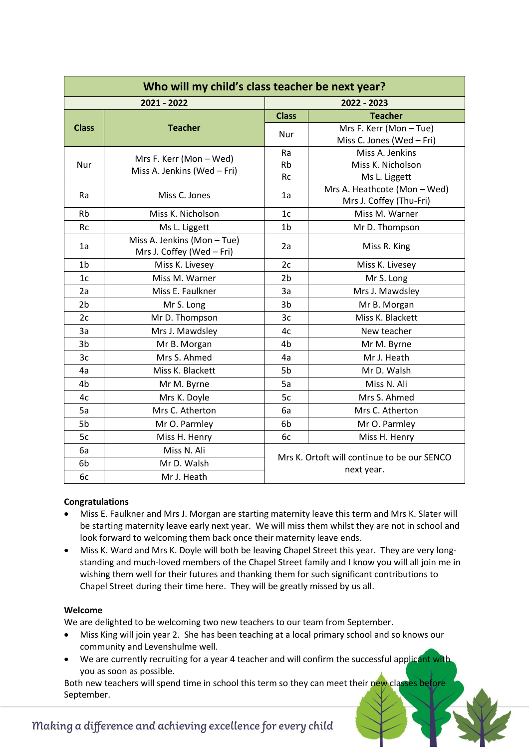| Who will my child's class teacher be next year? |                                                        |                                                           |                                                         |  |
|-------------------------------------------------|--------------------------------------------------------|-----------------------------------------------------------|---------------------------------------------------------|--|
|                                                 | 2021 - 2022                                            |                                                           | 2022 - 2023                                             |  |
| <b>Class</b>                                    | <b>Teacher</b>                                         | <b>Class</b>                                              | <b>Teacher</b>                                          |  |
|                                                 |                                                        | Nur                                                       | Mrs F. Kerr (Mon-Tue)<br>Miss C. Jones (Wed - Fri)      |  |
| <b>Nur</b>                                      | Mrs F. Kerr (Mon - Wed)<br>Miss A. Jenkins (Wed - Fri) | Ra<br><b>Rb</b><br>Rc                                     | Miss A. Jenkins<br>Miss K. Nicholson<br>Ms L. Liggett   |  |
| Ra                                              | Miss C. Jones                                          | 1a                                                        | Mrs A. Heathcote (Mon - Wed)<br>Mrs J. Coffey (Thu-Fri) |  |
| <b>Rb</b>                                       | Miss K. Nicholson                                      | 1 <sub>c</sub>                                            | Miss M. Warner                                          |  |
| Rc                                              | Ms L. Liggett                                          | 1 <sub>b</sub>                                            | Mr D. Thompson                                          |  |
| 1a                                              | Miss A. Jenkins (Mon-Tue)<br>Mrs J. Coffey (Wed - Fri) | 2a                                                        | Miss R. King                                            |  |
| 1 <sub>b</sub>                                  | Miss K. Livesey                                        | 2c                                                        | Miss K. Livesey                                         |  |
| 1 <sub>c</sub>                                  | Miss M. Warner                                         | 2 <sub>b</sub>                                            | Mr S. Long                                              |  |
| 2a                                              | Miss E. Faulkner                                       | 3a                                                        | Mrs J. Mawdsley                                         |  |
| 2 <sub>b</sub>                                  | Mr S. Long                                             | 3b                                                        | Mr B. Morgan                                            |  |
| 2c                                              | Mr D. Thompson                                         | 3c                                                        | Miss K. Blackett                                        |  |
| 3a                                              | Mrs J. Mawdsley                                        | 4c                                                        | New teacher                                             |  |
| 3b                                              | Mr B. Morgan                                           | 4b                                                        | Mr M. Byrne                                             |  |
| 3c                                              | Mrs S. Ahmed                                           | 4a                                                        | Mr J. Heath                                             |  |
| 4a                                              | Miss K. Blackett                                       | 5b                                                        | Mr D. Walsh                                             |  |
| 4b                                              | Mr M. Byrne                                            | 5a                                                        | Miss N. Ali                                             |  |
| 4c                                              | Mrs K. Doyle                                           | 5c                                                        | Mrs S. Ahmed                                            |  |
| 5a                                              | Mrs C. Atherton                                        | 6a                                                        | Mrs C. Atherton                                         |  |
| 5b                                              | Mr O. Parmley                                          | 6 <sub>b</sub>                                            | Mr O. Parmley                                           |  |
| 5c                                              | Miss H. Henry                                          | 6с                                                        | Miss H. Henry                                           |  |
| 6a                                              | Miss N. Ali                                            | Mrs K. Ortoft will continue to be our SENCO<br>next year. |                                                         |  |
| 6b                                              | Mr D. Walsh                                            |                                                           |                                                         |  |
| 6c                                              | Mr J. Heath                                            |                                                           |                                                         |  |

### **Congratulations**

- Miss E. Faulkner and Mrs J. Morgan are starting maternity leave this term and Mrs K. Slater will be starting maternity leave early next year. We will miss them whilst they are not in school and look forward to welcoming them back once their maternity leave ends.
- Miss K. Ward and Mrs K. Doyle will both be leaving Chapel Street this year. They are very longstanding and much-loved members of the Chapel Street family and I know you will all join me in wishing them well for their futures and thanking them for such significant contributions to Chapel Street during their time here. They will be greatly missed by us all.

#### **Welcome**

We are delighted to be welcoming two new teachers to our team from September.

- Miss King will join year 2. She has been teaching at a local primary school and so knows our community and Levenshulme well.
- We are currently recruiting for a year 4 teacher and will confirm the successful applicant with you as soon as possible.

Both new teachers will spend time in school this term so they can meet their new classes before September.

### Making a difference and achieving excellence for every child